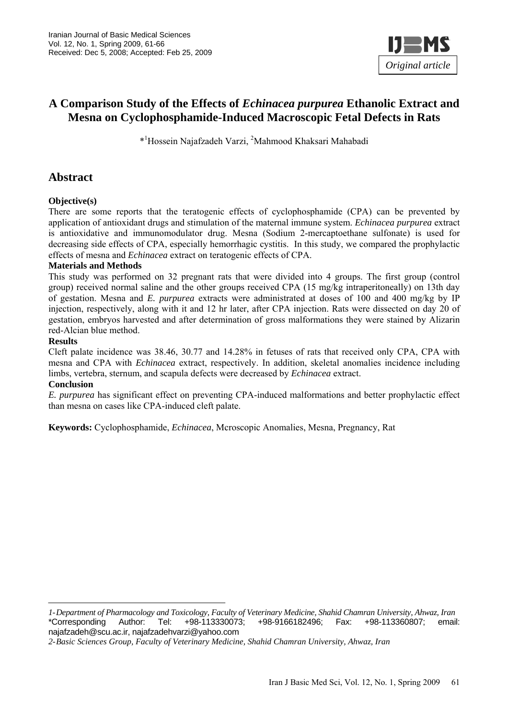

# **A Comparison Study of the Effects of** *Echinacea purpurea* **Ethanolic Extract and Mesna on Cyclophosphamide-Induced Macroscopic Fetal Defects in Rats**

\*1 Hossein Najafzadeh Varzi, 2 Mahmood Khaksari Mahabadi

## **Abstract**

#### **Objective(s)**

There are some reports that the teratogenic effects of cyclophosphamide (CPA) can be prevented by application of antioxidant drugs and stimulation of the maternal immune system. *Echinacea purpurea* extract is antioxidative and immunomodulator drug. Mesna (Sodium 2-mercaptoethane sulfonate) is used for decreasing side effects of CPA, especially hemorrhagic cystitis. In this study, we compared the prophylactic effects of mesna and *Echinacea* extract on teratogenic effects of CPA.

#### **Materials and Methods**

This study was performed on 32 pregnant rats that were divided into 4 groups. The first group (control group) received normal saline and the other groups received CPA (15 mg/kg intraperitoneally) on 13th day of gestation. Mesna and *E. purpurea* extracts were administrated at doses of 100 and 400 mg/kg by IP injection, respectively, along with it and 12 hr later, after CPA injection. Rats were dissected on day 20 of gestation, embryos harvested and after determination of gross malformations they were stained by Alizarin red-Alcian blue method.

#### **Results**

Cleft palate incidence was 38.46, 30.77 and 14.28% in fetuses of rats that received only CPA, CPA with mesna and CPA with *Echinacea* extract, respectively. In addition, skeletal anomalies incidence including limbs, vertebra, sternum, and scapula defects were decreased by *Echinacea* extract.

#### **Conclusion**

*E. purpurea* has significant effect on preventing CPA-induced malformations and better prophylactic effect than mesna on cases like CPA-induced cleft palate.

**Keywords:** Cyclophosphamide, *Echinacea*, Mcroscopic Anomalies, Mesna, Pregnancy, Rat

*<sup>1-</sup>Department of Pharmacology and Toxicology, Faculty of Veterinary Medicine, Shahid Chamran University, Ahwaz, Iran*  \*Corresponding Author: Tel: +98-113330073; +98-9166182496; Fax: +98-113360807; email: najafzadeh@scu.ac.ir, najafzadehvarzi@yahoo.com

*<sup>2-</sup>Basic Sciences Group, Faculty of Veterinary Medicine, Shahid Chamran University, Ahwaz, Iran*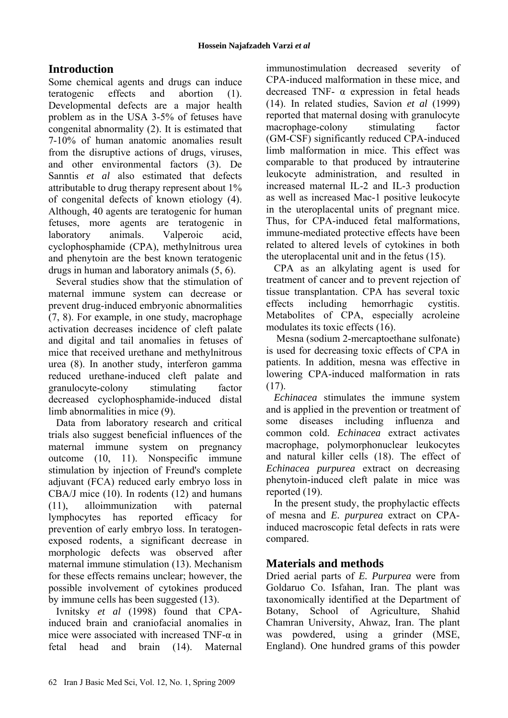# **Introduction**

Some chemical agents and drugs can induce teratogenic effects and abortion (1). Developmental defects are a major health problem as in the USA 3-5% of fetuses have congenital abnormality (2). It is estimated that 7-10% of human anatomic anomalies result from the disruptive actions of drugs, viruses, and other environmental factors (3). De Sanntis *et al* also estimated that defects attributable to drug therapy represent about 1% of congenital defects of known etiology (4). Although, 40 agents are teratogenic for human fetuses, more agents are teratogenic in laboratory animals. Valperoic acid, cyclophosphamide (CPA), methylnitrous urea and phenytoin are the best known teratogenic drugs in human and laboratory animals (5, 6).

Several studies show that the stimulation of maternal immune system can decrease or prevent drug-induced embryonic abnormalities (7, 8). For example, in one study, macrophage activation decreases incidence of cleft palate and digital and tail anomalies in fetuses of mice that received urethane and methylnitrous urea (8). In another study, interferon gamma reduced urethane-induced cleft palate and granulocyte-colony stimulating factor decreased cyclophosphamide-induced distal limb abnormalities in mice (9).

Data from laboratory research and critical trials also suggest beneficial influences of the maternal immune system on pregnancy outcome (10, 11). Nonspecific immune stimulation by injection of Freund's complete adjuvant (FCA) reduced early embryo loss in CBA/J mice (10). In rodents (12) and humans (11), alloimmunization with paternal lymphocytes has reported efficacy for prevention of early embryo loss. In teratogenexposed rodents, a significant decrease in morphologic defects was observed after maternal immune stimulation (13). Mechanism for these effects remains unclear; however, the possible involvement of cytokines produced by immune cells has been suggested (13).

Ivnitsky *et al* (1998) found that CPAinduced brain and craniofacial anomalies in mice were associated with increased TNF-α in fetal head and brain (14). Maternal immunostimulation decreased severity of CPA-induced malformation in these mice, and decreased TNF- α expression in fetal heads (14). In related studies, Savion *et al* (1999) reported that maternal dosing with granulocyte macrophage-colony stimulating factor (GM-CSF) significantly reduced CPA-induced limb malformation in mice. This effect was comparable to that produced by intrauterine leukocyte administration, and resulted in increased maternal IL-2 and IL-3 production as well as increased Mac-1 positive leukocyte in the uteroplacental units of pregnant mice. Thus, for CPA-induced fetal malformations, immune-mediated protective effects have been related to altered levels of cytokines in both the uteroplacental unit and in the fetus (15).

CPA as an alkylating agent is used for treatment of cancer and to prevent rejection of tissue transplantation. CPA has several toxic effects including hemorrhagic cystitis. Metabolites of CPA, especially acroleine modulates its toxic effects (16).

 Mesna (sodium 2-mercaptoethane sulfonate) is used for decreasing toxic effects of CPA in patients. In addition, mesna was effective in lowering CPA-induced malformation in rats (17).

*Echinacea* stimulates the immune system and is applied in the prevention or treatment of some diseases including influenza and common cold. *Echinacea* extract activates macrophage, polymorphonuclear leukocytes and natural killer cells (18). The effect of *Echinacea purpurea* extract on decreasing phenytoin-induced cleft palate in mice was reported (19).

In the present study, the prophylactic effects of mesna and *E. purpurea* extract on CPAinduced macroscopic fetal defects in rats were compared.

## **Materials and methods**

Dried aerial parts of *E. Purpurea* were from Goldaruo Co. Isfahan, Iran. The plant was taxonomically identified at the Department of Botany, School of Agriculture, Shahid Chamran University, Ahwaz, Iran. The plant was powdered, using a grinder (MSE, England). One hundred grams of this powder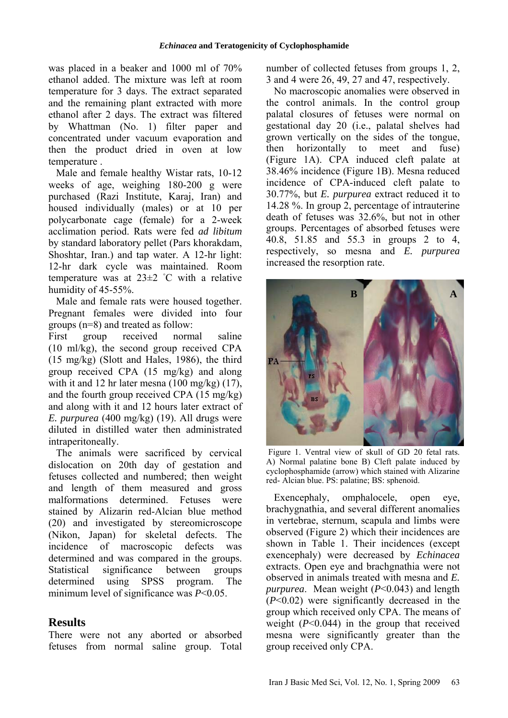was placed in a beaker and 1000 ml of 70% ethanol added. The mixture was left at room temperature for 3 days. The extract separated and the remaining plant extracted with more ethanol after 2 days. The extract was filtered by Whattman (No. 1) filter paper and concentrated under vacuum evaporation and then the product dried in oven at low temperature .

Male and female healthy Wistar rats, 10-12 weeks of age, weighing 180-200 g were purchased (Razi Institute, Karaj, Iran) and housed individually (males) or at 10 per polycarbonate cage (female) for a 2-week acclimation period. Rats were fed *ad libitum* by standard laboratory pellet (Pars khorakdam, Shoshtar, Iran.) and tap water. A 12-hr light: 12-hr dark cycle was maintained. Room temperature was at  $23\pm2$  °C with a relative humidity of 45-55%.

Male and female rats were housed together. Pregnant females were divided into four groups (n=8) and treated as follow:

First group received normal saline (10 ml/kg), the second group received CPA (15 mg/kg) (Slott and Hales, 1986), the third group received CPA (15 mg/kg) and along with it and 12 hr later mesna (100 mg/kg) (17), and the fourth group received CPA (15 mg/kg) and along with it and 12 hours later extract of *E. purpurea* (400 mg/kg) (19). All drugs were diluted in distilled water then administrated intraperitoneally.

The animals were sacrificed by cervical dislocation on 20th day of gestation and fetuses collected and numbered; then weight and length of them measured and gross malformations determined. Fetuses were stained by Alizarin red-Alcian blue method (20) and investigated by stereomicroscope (Nikon, Japan) for skeletal defects. The incidence of macroscopic defects was determined and was compared in the groups. Statistical significance between groups determined using SPSS program. The minimum level of significance was *P*<0.05.

## **Results**

There were not any aborted or absorbed fetuses from normal saline group. Total number of collected fetuses from groups 1, 2, 3 and 4 were 26, 49, 27 and 47, respectively.

No macroscopic anomalies were observed in the control animals. In the control group palatal closures of fetuses were normal on gestational day 20 (i.e., palatal shelves had grown vertically on the sides of the tongue, then horizontally to meet and fuse) (Figure 1A). CPA induced cleft palate at 38.46% incidence (Figure 1B). Mesna reduced incidence of CPA-induced cleft palate to 30.77%, but *E. purpurea* extract reduced it to 14.28 %. In group 2, percentage of intrauterine death of fetuses was 32.6%, but not in other groups. Percentages of absorbed fetuses were 40.8, 51.85 and 55.3 in groups 2 to 4, respectively, so mesna and *E. purpurea* increased the resorption rate.



 Figure 1. Ventral view of skull of GD 20 fetal rats. A) Normal palatine bone B) Cleft palate induced by cyclophosphamide (arrow) which stained with Alizarine red- Alcian blue. PS: palatine; BS: sphenoid.

Exencephaly, omphalocele, open eye, brachygnathia, and several different anomalies in vertebrae, sternum, scapula and limbs were observed (Figure 2) which their incidences are shown in Table 1. Their incidences (except exencephaly) were decreased by *Echinacea*  extracts. Open eye and brachgnathia were not observed in animals treated with mesna and *E. purpurea*. Mean weight (*P*<0.043) and length (*P*<0.02) were significantly decreased in the group which received only CPA. The means of weight  $(P<0.044)$  in the group that received mesna were significantly greater than the group received only CPA.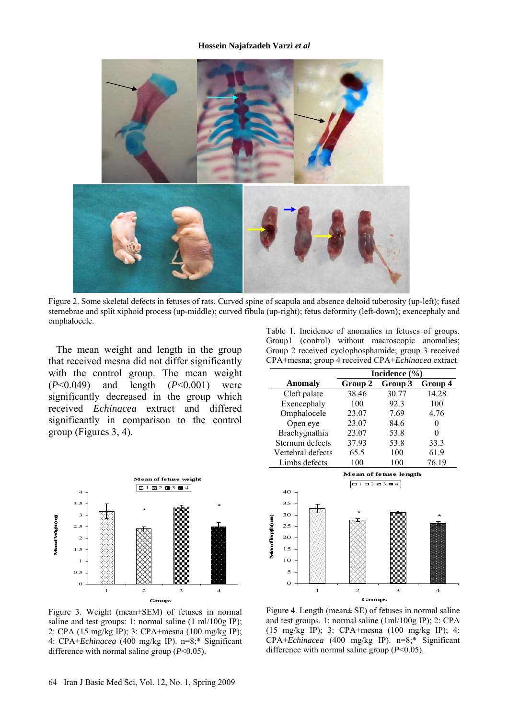#### **Hossein Najafzadeh Varzi** *et al*



Figure 2. Some skeletal defects in fetuses of rats. Curved spine of scapula and absence deltoid tuberosity (up-left); fused sternebrae and split xiphoid process (up-middle); curved fibula (up-right); fetus deformity (left-down); exencephaly and omphalocele.

The mean weight and length in the group that received mesna did not differ significantly with the control group. The mean weight (*P*<0.049) and length (*P*<0.001) were significantly decreased in the group which received *Echinacea* extract and differed significantly in comparison to the control group (Figures 3, 4).



Figure 3. Weight (mean±SEM) of fetuses in normal saline and test groups: 1: normal saline (1 ml/100g IP); 2: CPA (15 mg/kg IP); 3: CPA+mesna (100 mg/kg IP); 4: CPA+*Echinacea* (400 mg/kg IP). n=8;\* Significant difference with normal saline group (*P*<0.05).

Table 1. Incidence of anomalies in fetuses of groups. Group1 (control) without macroscopic anomalies; Group 2 received cyclophosphamide; group 3 received CPA+mesna; group 4 received CPA+*Echinacea* extract.

|                                          | Incidence $(\% )$ |         |         |
|------------------------------------------|-------------------|---------|---------|
| Anomaly                                  | Group 2           | Group 3 | Group 4 |
| Cleft palate                             | 38.46             | 30.77   | 14.28   |
| Exencephaly                              | 100               | 923     | 100     |
| Omphalocele                              | 23.07             | 7.69    | 4.76    |
| Open eye                                 | 23.07             | 84.6    | 0       |
| Brachygnathia                            | 23.07             | 53.8    | 0       |
| Sternum defects                          | 37.93             | 53.8    | 33.3    |
| Vertebral defects                        | 65.5              | 100     | 61.9    |
| Limbs defects                            | 100               | 100     | 76.19   |
| <b>Mean of fetuse length</b><br>81828384 |                   |         |         |



Figure 4. Length (mean± SE) of fetuses in normal saline and test groups. 1: normal saline (1ml/100g IP); 2: CPA (15 mg/kg IP); 3: CPA+mesna (100 mg/kg IP); 4: CPA+*Echinacea* (400 mg/kg IP). n=8;\* Significant difference with normal saline group (*P*<0.05).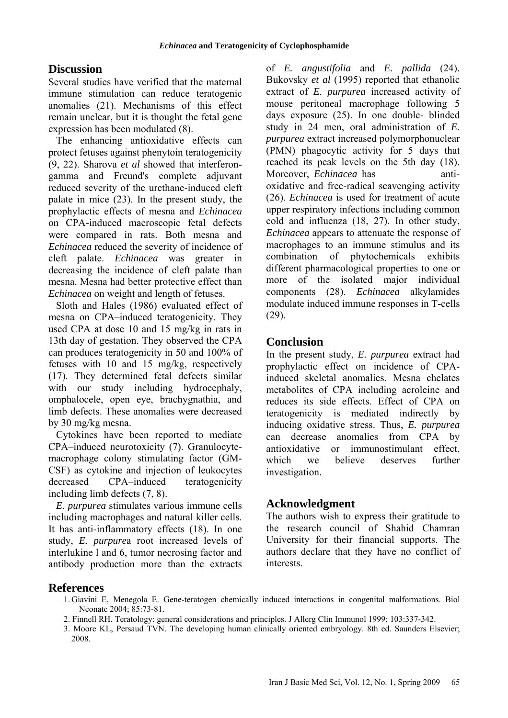## **Discussion**

Several studies have verified that the maternal immune stimulation can reduce teratogenic anomalies (21). Mechanisms of this effect remain unclear, but it is thought the fetal gene expression has been modulated (8).

The enhancing antioxidative effects can protect fetuses against phenytoin teratogenicity (9, 22). Sharova *et al* showed that interferongamma and Freund's complete adjuvant reduced severity of the urethane-induced cleft palate in mice (23). In the present study, the prophylactic effects of mesna and *Echinacea*  on CPA-induced macroscopic fetal defects were compared in rats. Both mesna and *Echinacea* reduced the severity of incidence of cleft palate. *Echinacea* was greater in decreasing the incidence of cleft palate than mesna. Mesna had better protective effect than *Echinacea* on weight and length of fetuses.

Sloth and Hales (1986) evaluated effect of mesna on CPA–induced teratogenicity. They used CPA at dose 10 and 15 mg/kg in rats in 13th day of gestation. They observed the CPA can produces teratogenicity in 50 and 100% of fetuses with 10 and 15 mg/kg, respectively (17). They determined fetal defects similar with our study including hydrocephaly, omphalocele, open eye, brachygnathia, and limb defects. These anomalies were decreased by 30 mg/kg mesna.

Cytokines have been reported to mediate CPA–induced neurotoxicity (7). Granulocytemacrophage colony stimulating factor (GM-CSF) as cytokine and injection of leukocytes decreased CPA–induced teratogenicity including limb defects (7, 8).

*E. purpurea* stimulates various immune cells including macrophages and natural killer cells. It has anti-inflammatory effects (18). In one study, *E. purpure*a root increased levels of interlukine l and 6, tumor necrosing factor and antibody production more than the extracts of *E. angustifolia* and *E. pallida* (24). Bukovsky *et al* (1995) reported that ethanolic extract of *E. purpurea* increased activity of mouse peritoneal macrophage following 5 days exposure (25). In one double- blinded study in 24 men, oral administration of *E. purpurea* extract increased polymorphonuclear (PMN) phagocytic activity for 5 days that reached its peak levels on the 5th day (18). Moreover, *Echinacea* has antioxidative and free-radical scavenging activity (26). *Echinacea* is used for treatment of acute upper respiratory infections including common cold and influenza (18, 27). In other study, *Echinacea* appears to attenuate the response of macrophages to an immune stimulus and its combination of phytochemicals exhibits different pharmacological properties to one or more of the isolated major individual components (28). *Echinacea* alkylamides modulate induced immune responses in T-cells (29).

## **Conclusion**

In the present study, *E. purpurea* extract had prophylactic effect on incidence of CPAinduced skeletal anomalies. Mesna chelates metabolites of CPA including acroleine and reduces its side effects. Effect of CPA on teratogenicity is mediated indirectly by inducing oxidative stress. Thus, *E. purpurea* can decrease anomalies from CPA by antioxidative or immunostimulant effect, which we believe deserves further investigation.

### **Acknowledgment**

The authors wish to express their gratitude to the research council of Shahid Chamran University for their financial supports. The authors declare that they have no conflict of interests.

### **References**

- 1. Giavini E, Menegola E. Gene-teratogen chemically induced interactions in congenital malformations. Biol Neonate 2004; 85:73-81.
- 2. Finnell RH. Teratology: general considerations and principles. J Allerg Clin Immunol 1999; 103:337-342.
- 3. Moore KL, Persaud TVN. The developing human clinically oriented embryology. 8th ed. Saunders Elsevier; 2008.